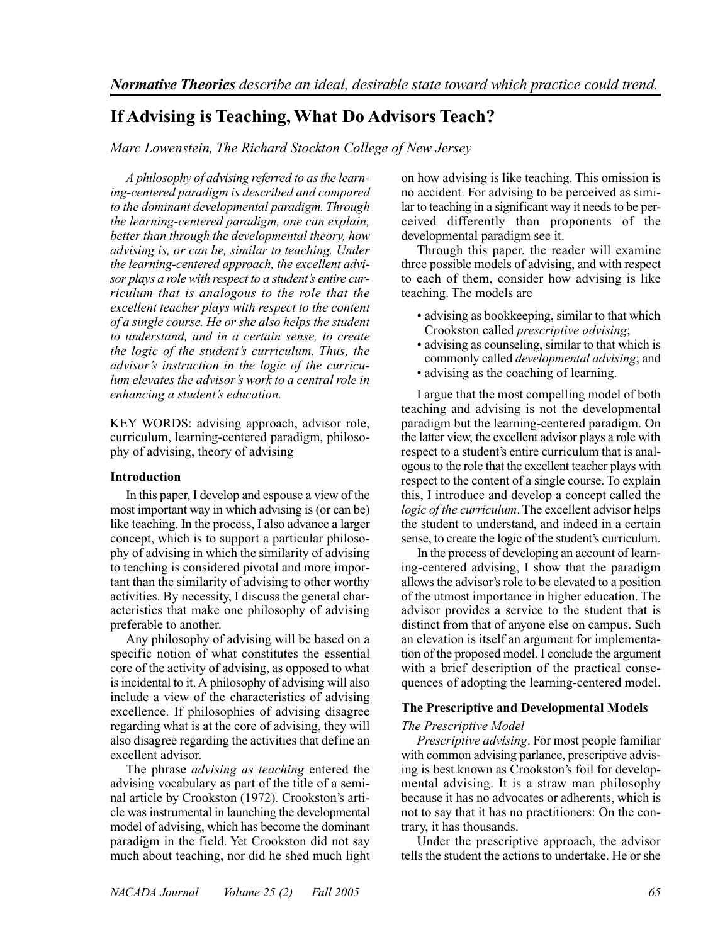# **If Advising is Teaching, What Do Advisors Teach?**

*Marc Lowenstein, The Richard Stockton College of New Jersey*

*A philosophy of advising referred to as the learning-centered paradigm is described and compared to the dominant developmental paradigm. Through the learning-centered paradigm, one can explain, better than through the developmental theory, how advising is, or can be, similar to teaching. Under the learning-centered approach, the excellent advisor plays a role with respect to a student's entire curriculum that is analogous to the role that the excellent teacher plays with respect to the content of a single course. He or she also helps the student to understand, and in a certain sense, to create the logic of the student's curriculum. Thus, the advisor's instruction in the logic of the curriculum elevates the advisor's work to a central role in enhancing a student's education.*

KEY WORDS: advising approach, advisor role, curriculum, learning-centered paradigm, philosophy of advising, theory of advising

# **Introduction**

In this paper, I develop and espouse a view of the most important way in which advising is (or can be) like teaching. In the process, I also advance a larger concept, which is to support a particular philosophy of advising in which the similarity of advising to teaching is considered pivotal and more important than the similarity of advising to other worthy activities. By necessity, I discuss the general characteristics that make one philosophy of advising preferable to another.

Any philosophy of advising will be based on a specific notion of what constitutes the essential core of the activity of advising, as opposed to what is incidental to it. A philosophy of advising will also include a view of the characteristics of advising excellence. If philosophies of advising disagree regarding what is at the core of advising, they will also disagree regarding the activities that define an excellent advisor.

The phrase *advising as teaching* entered the advising vocabulary as part of the title of a seminal article by Crookston (1972). Crookston's article was instrumental in launching the developmental model of advising, which has become the dominant paradigm in the field. Yet Crookston did not say much about teaching, nor did he shed much light

on how advising is like teaching. This omission is no accident. For advising to be perceived as similar to teaching in a significant way it needs to be perceived differently than proponents of the developmental paradigm see it.

Through this paper, the reader will examine three possible models of advising, and with respect to each of them, consider how advising is like teaching. The models are

- advising as bookkeeping, similar to that which Crookston called *prescriptive advising*;
- advising as counseling, similar to that which is commonly called *developmental advising*; and
- advising as the coaching of learning.

I argue that the most compelling model of both teaching and advising is not the developmental paradigm but the learning-centered paradigm. On the latter view, the excellent advisor plays a role with respect to a student's entire curriculum that is analogous to the role that the excellent teacher plays with respect to the content of a single course. To explain this, I introduce and develop a concept called the *logic of the curriculum*. The excellent advisor helps the student to understand, and indeed in a certain sense, to create the logic of the student's curriculum.

In the process of developing an account of learning-centered advising, I show that the paradigm allows the advisor's role to be elevated to a position of the utmost importance in higher education. The advisor provides a service to the student that is distinct from that of anyone else on campus. Such an elevation is itself an argument for implementation of the proposed model. I conclude the argument with a brief description of the practical consequences of adopting the learning-centered model.

# **The Prescriptive and Developmental Models**

# *The Prescriptive Model*

*Prescriptive advising*. For most people familiar with common advising parlance, prescriptive advising is best known as Crookston's foil for developmental advising. It is a straw man philosophy because it has no advocates or adherents, which is not to say that it has no practitioners: On the contrary, it has thousands.

Under the prescriptive approach, the advisor tells the student the actions to undertake. He or she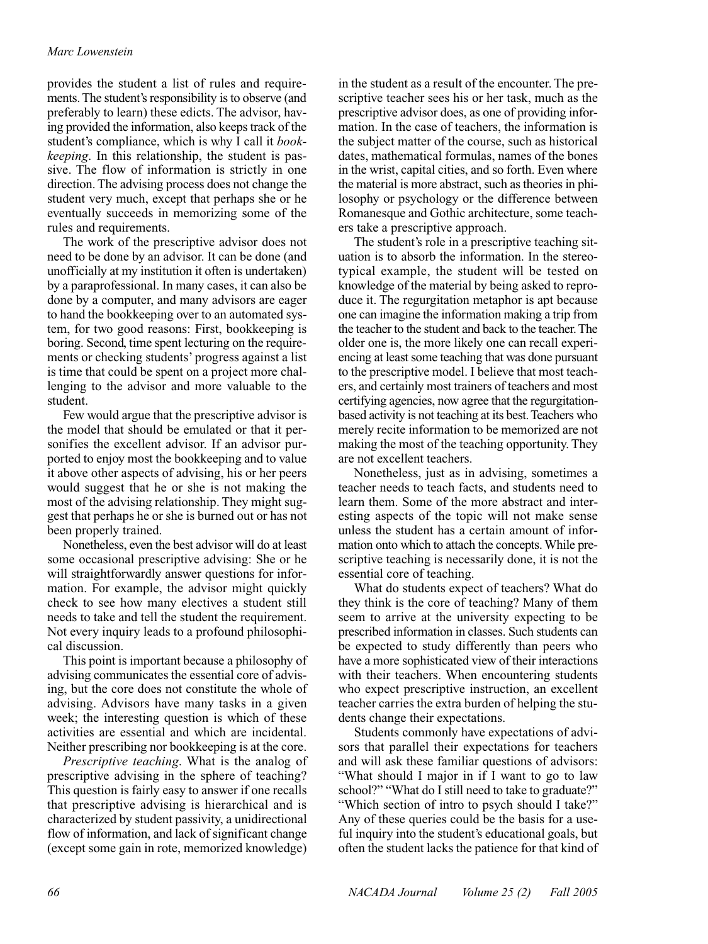# *Marc Lowenstein*

provides the student a list of rules and requirements. The student's responsibility is to observe (and preferably to learn) these edicts. The advisor, having provided the information, also keeps track of the student's compliance, which is why I call it *bookkeeping*. In this relationship, the student is passive. The flow of information is strictly in one direction. The advising process does not change the student very much, except that perhaps she or he eventually succeeds in memorizing some of the rules and requirements.

The work of the prescriptive advisor does not need to be done by an advisor. It can be done (and unofficially at my institution it often is undertaken) by a paraprofessional. In many cases, it can also be done by a computer, and many advisors are eager to hand the bookkeeping over to an automated system, for two good reasons: First, bookkeeping is boring. Second, time spent lecturing on the requirements or checking students' progress against a list is time that could be spent on a project more challenging to the advisor and more valuable to the student.

Few would argue that the prescriptive advisor is the model that should be emulated or that it personifies the excellent advisor. If an advisor purported to enjoy most the bookkeeping and to value it above other aspects of advising, his or her peers would suggest that he or she is not making the most of the advising relationship. They might suggest that perhaps he or she is burned out or has not been properly trained.

Nonetheless, even the best advisor will do at least some occasional prescriptive advising: She or he will straightforwardly answer questions for information. For example, the advisor might quickly check to see how many electives a student still needs to take and tell the student the requirement. Not every inquiry leads to a profound philosophical discussion.

This point is important because a philosophy of advising communicates the essential core of advising, but the core does not constitute the whole of advising. Advisors have many tasks in a given week; the interesting question is which of these activities are essential and which are incidental. Neither prescribing nor bookkeeping is at the core.

*Prescriptive teaching*. What is the analog of prescriptive advising in the sphere of teaching? This question is fairly easy to answer if one recalls that prescriptive advising is hierarchical and is characterized by student passivity, a unidirectional flow of information, and lack of significant change (except some gain in rote, memorized knowledge) in the student as a result of the encounter. The prescriptive teacher sees his or her task, much as the prescriptive advisor does, as one of providing information. In the case of teachers, the information is the subject matter of the course, such as historical dates, mathematical formulas, names of the bones in the wrist, capital cities, and so forth. Even where the material is more abstract, such as theories in philosophy or psychology or the difference between Romanesque and Gothic architecture, some teachers take a prescriptive approach.

The student's role in a prescriptive teaching situation is to absorb the information. In the stereotypical example, the student will be tested on knowledge of the material by being asked to reproduce it. The regurgitation metaphor is apt because one can imagine the information making a trip from the teacher to the student and back to the teacher. The older one is, the more likely one can recall experiencing at least some teaching that was done pursuant to the prescriptive model. I believe that most teachers, and certainly most trainers of teachers and most certifying agencies, now agree that the regurgitationbased activity is not teaching at its best. Teachers who merely recite information to be memorized are not making the most of the teaching opportunity. They are not excellent teachers.

Nonetheless, just as in advising, sometimes a teacher needs to teach facts, and students need to learn them. Some of the more abstract and interesting aspects of the topic will not make sense unless the student has a certain amount of information onto which to attach the concepts. While prescriptive teaching is necessarily done, it is not the essential core of teaching.

What do students expect of teachers? What do they think is the core of teaching? Many of them seem to arrive at the university expecting to be prescribed information in classes. Such students can be expected to study differently than peers who have a more sophisticated view of their interactions with their teachers. When encountering students who expect prescriptive instruction, an excellent teacher carries the extra burden of helping the students change their expectations.

Students commonly have expectations of advisors that parallel their expectations for teachers and will ask these familiar questions of advisors: "What should I major in if I want to go to law school?" "What do I still need to take to graduate?" "Which section of intro to psych should I take?" Any of these queries could be the basis for a useful inquiry into the student's educational goals, but often the student lacks the patience for that kind of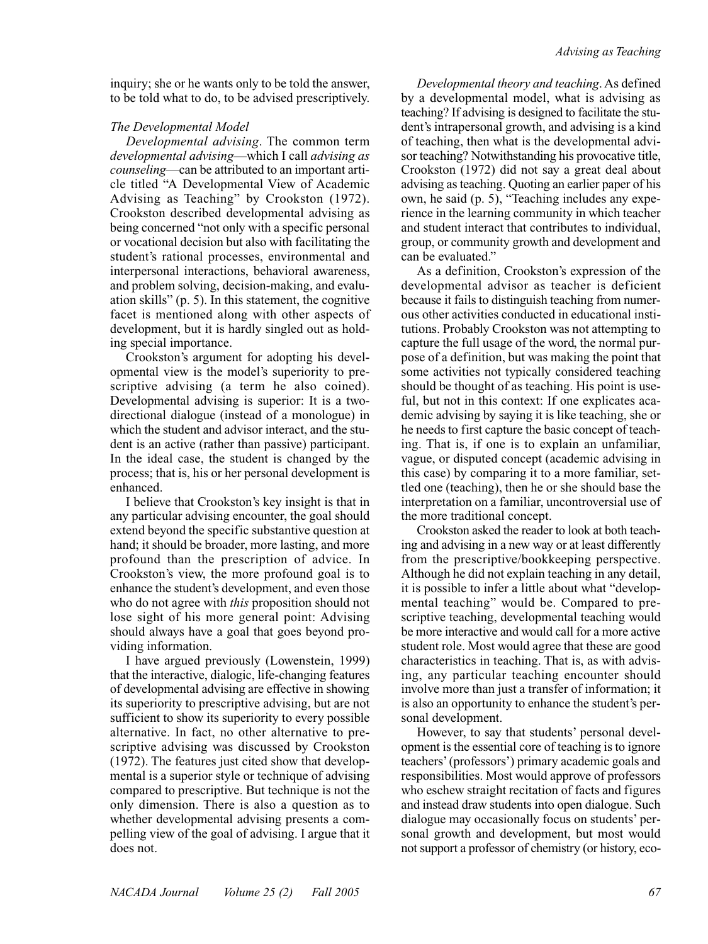inquiry; she or he wants only to be told the answer, to be told what to do, to be advised prescriptively.

# *The Developmental Model*

*Developmental advising*. The common term *developmental advising*—which I call *advising as counseling*—can be attributed to an important article titled "A Developmental View of Academic Advising as Teaching" by Crookston (1972). Crookston described developmental advising as being concerned "not only with a specific personal or vocational decision but also with facilitating the student's rational processes, environmental and interpersonal interactions, behavioral awareness, and problem solving, decision-making, and evaluation skills" (p. 5). In this statement, the cognitive facet is mentioned along with other aspects of development, but it is hardly singled out as holding special importance.

Crookston's argument for adopting his developmental view is the model's superiority to prescriptive advising (a term he also coined). Developmental advising is superior: It is a twodirectional dialogue (instead of a monologue) in which the student and advisor interact, and the student is an active (rather than passive) participant. In the ideal case, the student is changed by the process; that is, his or her personal development is enhanced.

I believe that Crookston's key insight is that in any particular advising encounter, the goal should extend beyond the specific substantive question at hand; it should be broader, more lasting, and more profound than the prescription of advice. In Crookston's view, the more profound goal is to enhance the student's development, and even those who do not agree with *this* proposition should not lose sight of his more general point: Advising should always have a goal that goes beyond providing information.

I have argued previously (Lowenstein, 1999) that the interactive, dialogic, life-changing features of developmental advising are effective in showing its superiority to prescriptive advising, but are not sufficient to show its superiority to every possible alternative. In fact, no other alternative to prescriptive advising was discussed by Crookston (1972). The features just cited show that developmental is a superior style or technique of advising compared to prescriptive. But technique is not the only dimension. There is also a question as to whether developmental advising presents a compelling view of the goal of advising. I argue that it does not.

*Developmental theory and teaching*. As defined by a developmental model, what is advising as teaching? If advising is designed to facilitate the student's intrapersonal growth, and advising is a kind of teaching, then what is the developmental advisor teaching? Notwithstanding his provocative title, Crookston (1972) did not say a great deal about advising as teaching. Quoting an earlier paper of his own, he said (p. 5), "Teaching includes any experience in the learning community in which teacher and student interact that contributes to individual, group, or community growth and development and can be evaluated."

As a definition, Crookston's expression of the developmental advisor as teacher is deficient because it fails to distinguish teaching from numerous other activities conducted in educational institutions. Probably Crookston was not attempting to capture the full usage of the word, the normal purpose of a definition, but was making the point that some activities not typically considered teaching should be thought of as teaching. His point is useful, but not in this context: If one explicates academic advising by saying it is like teaching, she or he needs to first capture the basic concept of teaching. That is, if one is to explain an unfamiliar, vague, or disputed concept (academic advising in this case) by comparing it to a more familiar, settled one (teaching), then he or she should base the interpretation on a familiar, uncontroversial use of the more traditional concept.

Crookston asked the reader to look at both teaching and advising in a new way or at least differently from the prescriptive/bookkeeping perspective. Although he did not explain teaching in any detail, it is possible to infer a little about what "developmental teaching" would be. Compared to prescriptive teaching, developmental teaching would be more interactive and would call for a more active student role. Most would agree that these are good characteristics in teaching. That is, as with advising, any particular teaching encounter should involve more than just a transfer of information; it is also an opportunity to enhance the student's personal development.

However, to say that students' personal development is the essential core of teaching is to ignore teachers' (professors') primary academic goals and responsibilities. Most would approve of professors who eschew straight recitation of facts and figures and instead draw students into open dialogue. Such dialogue may occasionally focus on students' personal growth and development, but most would not support a professor of chemistry (or history, eco-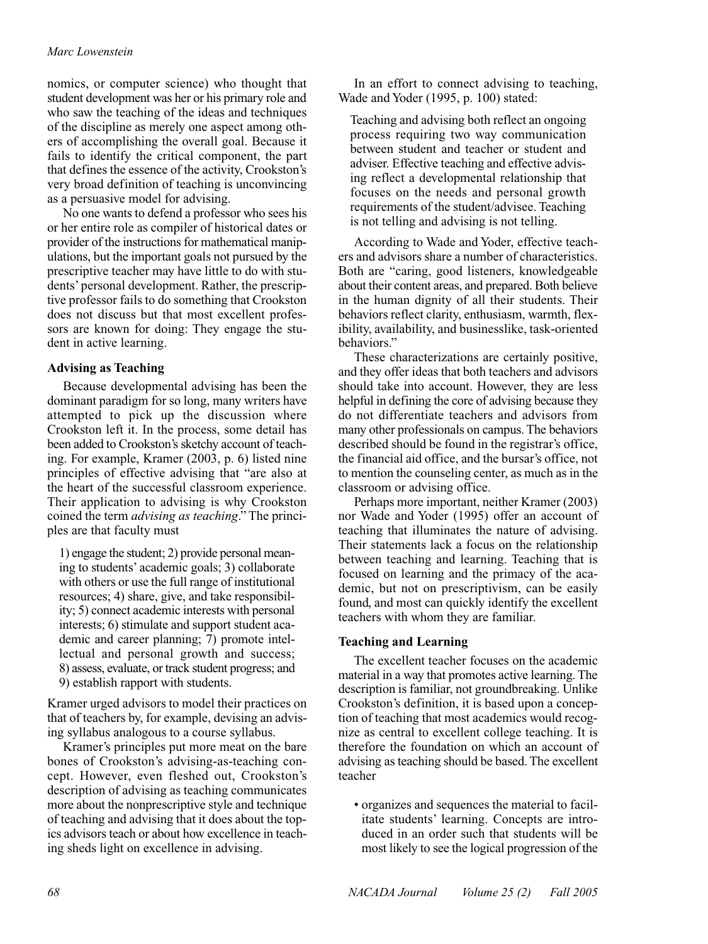## *Marc Lowenstein*

nomics, or computer science) who thought that student development was her or his primary role and who saw the teaching of the ideas and techniques of the discipline as merely one aspect among others of accomplishing the overall goal. Because it fails to identify the critical component, the part that defines the essence of the activity, Crookston's very broad definition of teaching is unconvincing as a persuasive model for advising.

No one wants to defend a professor who sees his or her entire role as compiler of historical dates or provider of the instructions for mathematical manipulations, but the important goals not pursued by the prescriptive teacher may have little to do with students' personal development. Rather, the prescriptive professor fails to do something that Crookston does not discuss but that most excellent professors are known for doing: They engage the student in active learning.

## **Advising as Teaching**

Because developmental advising has been the dominant paradigm for so long, many writers have attempted to pick up the discussion where Crookston left it. In the process, some detail has been added to Crookston's sketchy account of teaching. For example, Kramer (2003, p. 6) listed nine principles of effective advising that "are also at the heart of the successful classroom experience. Their application to advising is why Crookston coined the term *advising as teaching*." The principles are that faculty must

1) engage the student; 2) provide personal meaning to students' academic goals; 3) collaborate with others or use the full range of institutional resources; 4) share, give, and take responsibility; 5) connect academic interests with personal interests; 6) stimulate and support student academic and career planning; 7) promote intellectual and personal growth and success; 8) assess, evaluate, or track student progress; and

9) establish rapport with students.

Kramer urged advisors to model their practices on that of teachers by, for example, devising an advising syllabus analogous to a course syllabus.

Kramer's principles put more meat on the bare bones of Crookston's advising-as-teaching concept. However, even fleshed out, Crookston's description of advising as teaching communicates more about the nonprescriptive style and technique of teaching and advising that it does about the topics advisors teach or about how excellence in teaching sheds light on excellence in advising.

In an effort to connect advising to teaching, Wade and Yoder (1995, p. 100) stated:

Teaching and advising both reflect an ongoing process requiring two way communication between student and teacher or student and adviser. Effective teaching and effective advising reflect a developmental relationship that focuses on the needs and personal growth requirements of the student/advisee. Teaching is not telling and advising is not telling.

According to Wade and Yoder, effective teachers and advisors share a number of characteristics. Both are "caring, good listeners, knowledgeable about their content areas, and prepared. Both believe in the human dignity of all their students. Their behaviors reflect clarity, enthusiasm, warmth, flexibility, availability, and businesslike, task-oriented behaviors."

These characterizations are certainly positive, and they offer ideas that both teachers and advisors should take into account. However, they are less helpful in defining the core of advising because they do not differentiate teachers and advisors from many other professionals on campus. The behaviors described should be found in the registrar's office, the financial aid office, and the bursar's office, not to mention the counseling center, as much as in the classroom or advising office.

Perhaps more important, neither Kramer (2003) nor Wade and Yoder (1995) offer an account of teaching that illuminates the nature of advising. Their statements lack a focus on the relationship between teaching and learning. Teaching that is focused on learning and the primacy of the academic, but not on prescriptivism, can be easily found, and most can quickly identify the excellent teachers with whom they are familiar.

#### **Teaching and Learning**

The excellent teacher focuses on the academic material in a way that promotes active learning. The description is familiar, not groundbreaking. Unlike Crookston's definition, it is based upon a conception of teaching that most academics would recognize as central to excellent college teaching. It is therefore the foundation on which an account of advising as teaching should be based. The excellent teacher

• organizes and sequences the material to facilitate students' learning. Concepts are introduced in an order such that students will be most likely to see the logical progression of the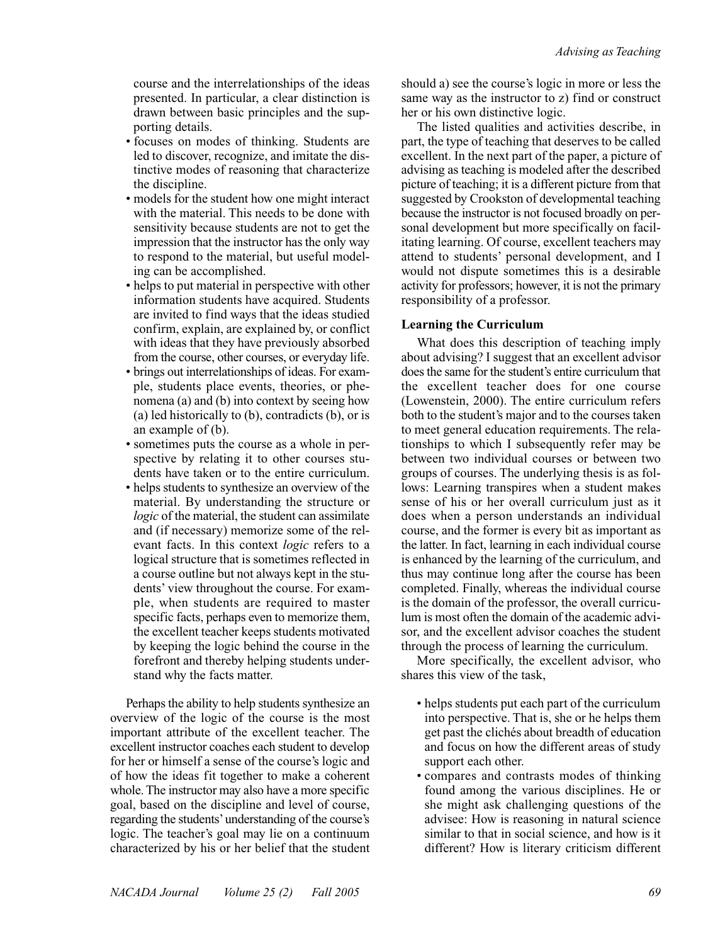course and the interrelationships of the ideas presented. In particular, a clear distinction is drawn between basic principles and the supporting details.

- focuses on modes of thinking. Students are led to discover, recognize, and imitate the distinctive modes of reasoning that characterize the discipline.
- models for the student how one might interact with the material. This needs to be done with sensitivity because students are not to get the impression that the instructor has the only way to respond to the material, but useful modeling can be accomplished.
- helps to put material in perspective with other information students have acquired. Students are invited to find ways that the ideas studied confirm, explain, are explained by, or conflict with ideas that they have previously absorbed from the course, other courses, or everyday life.
- brings out interrelationships of ideas. For example, students place events, theories, or phenomena (a) and (b) into context by seeing how (a) led historically to (b), contradicts (b), or is an example of (b).
- sometimes puts the course as a whole in perspective by relating it to other courses students have taken or to the entire curriculum.
- helps students to synthesize an overview of the material. By understanding the structure or *logic* of the material, the student can assimilate and (if necessary) memorize some of the relevant facts. In this context *logic* refers to a logical structure that is sometimes reflected in a course outline but not always kept in the students' view throughout the course. For example, when students are required to master specific facts, perhaps even to memorize them, the excellent teacher keeps students motivated by keeping the logic behind the course in the forefront and thereby helping students understand why the facts matter.

Perhaps the ability to help students synthesize an overview of the logic of the course is the most important attribute of the excellent teacher. The excellent instructor coaches each student to develop for her or himself a sense of the course's logic and of how the ideas fit together to make a coherent whole. The instructor may also have a more specific goal, based on the discipline and level of course, regarding the students'understanding of the course's logic. The teacher's goal may lie on a continuum characterized by his or her belief that the student should a) see the course's logic in more or less the same way as the instructor to z) find or construct her or his own distinctive logic.

The listed qualities and activities describe, in part, the type of teaching that deserves to be called excellent. In the next part of the paper, a picture of advising as teaching is modeled after the described picture of teaching; it is a different picture from that suggested by Crookston of developmental teaching because the instructor is not focused broadly on personal development but more specifically on facilitating learning. Of course, excellent teachers may attend to students' personal development, and I would not dispute sometimes this is a desirable activity for professors; however, it is not the primary responsibility of a professor.

# **Learning the Curriculum**

What does this description of teaching imply about advising? I suggest that an excellent advisor does the same for the student's entire curriculum that the excellent teacher does for one course (Lowenstein, 2000). The entire curriculum refers both to the student's major and to the courses taken to meet general education requirements. The relationships to which I subsequently refer may be between two individual courses or between two groups of courses. The underlying thesis is as follows: Learning transpires when a student makes sense of his or her overall curriculum just as it does when a person understands an individual course, and the former is every bit as important as the latter. In fact, learning in each individual course is enhanced by the learning of the curriculum, and thus may continue long after the course has been completed. Finally, whereas the individual course is the domain of the professor, the overall curriculum is most often the domain of the academic advisor, and the excellent advisor coaches the student through the process of learning the curriculum.

More specifically, the excellent advisor, who shares this view of the task,

- helps students put each part of the curriculum into perspective. That is, she or he helps them get past the clichés about breadth of education and focus on how the different areas of study support each other.
- compares and contrasts modes of thinking found among the various disciplines. He or she might ask challenging questions of the advisee: How is reasoning in natural science similar to that in social science, and how is it different? How is literary criticism different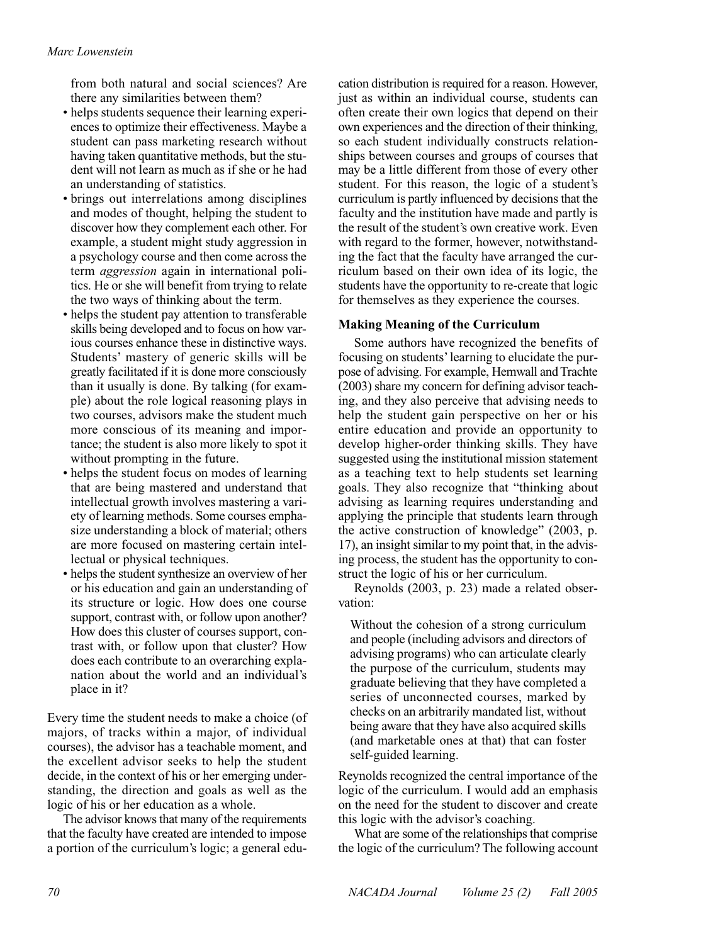from both natural and social sciences? Are there any similarities between them?

- helps students sequence their learning experiences to optimize their effectiveness. Maybe a student can pass marketing research without having taken quantitative methods, but the student will not learn as much as if she or he had an understanding of statistics.
- brings out interrelations among disciplines and modes of thought, helping the student to discover how they complement each other. For example, a student might study aggression in a psychology course and then come across the term *aggression* again in international politics. He or she will benefit from trying to relate the two ways of thinking about the term.
- helps the student pay attention to transferable skills being developed and to focus on how various courses enhance these in distinctive ways. Students' mastery of generic skills will be greatly facilitated if it is done more consciously than it usually is done. By talking (for example) about the role logical reasoning plays in two courses, advisors make the student much more conscious of its meaning and importance; the student is also more likely to spot it without prompting in the future.
- helps the student focus on modes of learning that are being mastered and understand that intellectual growth involves mastering a variety of learning methods. Some courses emphasize understanding a block of material; others are more focused on mastering certain intellectual or physical techniques.
- helps the student synthesize an overview of her or his education and gain an understanding of its structure or logic. How does one course support, contrast with, or follow upon another? How does this cluster of courses support, contrast with, or follow upon that cluster? How does each contribute to an overarching explanation about the world and an individual's place in it?

Every time the student needs to make a choice (of majors, of tracks within a major, of individual courses), the advisor has a teachable moment, and the excellent advisor seeks to help the student decide, in the context of his or her emerging understanding, the direction and goals as well as the logic of his or her education as a whole.

The advisor knows that many of the requirements that the faculty have created are intended to impose a portion of the curriculum's logic; a general education distribution is required for a reason. However, just as within an individual course, students can often create their own logics that depend on their own experiences and the direction of their thinking, so each student individually constructs relationships between courses and groups of courses that may be a little different from those of every other student. For this reason, the logic of a student's curriculum is partly influenced by decisions that the faculty and the institution have made and partly is the result of the student's own creative work. Even with regard to the former, however, notwithstanding the fact that the faculty have arranged the curriculum based on their own idea of its logic, the students have the opportunity to re-create that logic for themselves as they experience the courses.

# **Making Meaning of the Curriculum**

Some authors have recognized the benefits of focusing on students'learning to elucidate the purpose of advising. For example, Hemwall and Trachte (2003) share my concern for defining advisor teaching, and they also perceive that advising needs to help the student gain perspective on her or his entire education and provide an opportunity to develop higher-order thinking skills. They have suggested using the institutional mission statement as a teaching text to help students set learning goals. They also recognize that "thinking about advising as learning requires understanding and applying the principle that students learn through the active construction of knowledge" (2003, p. 17), an insight similar to my point that, in the advising process, the student has the opportunity to construct the logic of his or her curriculum.

Reynolds (2003, p. 23) made a related observation:

Without the cohesion of a strong curriculum and people (including advisors and directors of advising programs) who can articulate clearly the purpose of the curriculum, students may graduate believing that they have completed a series of unconnected courses, marked by checks on an arbitrarily mandated list, without being aware that they have also acquired skills (and marketable ones at that) that can foster self-guided learning.

Reynolds recognized the central importance of the logic of the curriculum. I would add an emphasis on the need for the student to discover and create this logic with the advisor's coaching.

What are some of the relationships that comprise the logic of the curriculum? The following account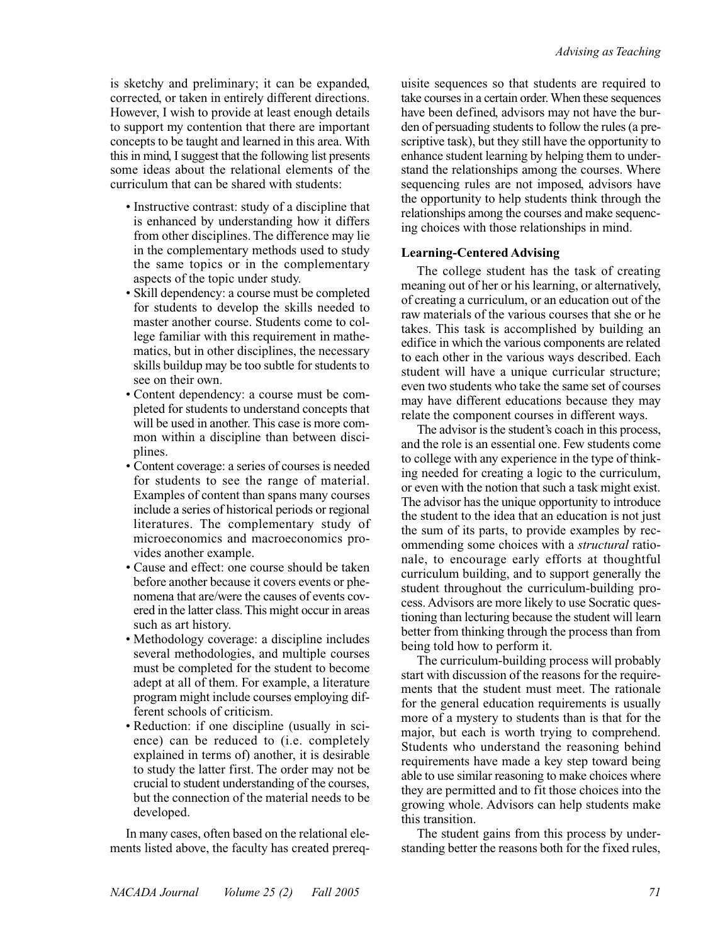is sketchy and preliminary; it can be expanded, corrected, or taken in entirely different directions. However, I wish to provide at least enough details to support my contention that there are important concepts to be taught and learned in this area. With this in mind, I suggest that the following list presents some ideas about the relational elements of the curriculum that can be shared with students:

- Instructive contrast: study of a discipline that is enhanced by understanding how it differs from other disciplines. The difference may lie in the complementary methods used to study the same topics or in the complementary aspects of the topic under study.
- Skill dependency: a course must be completed for students to develop the skills needed to master another course. Students come to college familiar with this requirement in mathematics, but in other disciplines, the necessary skills buildup may be too subtle for students to see on their own.
- Content dependency: a course must be completed for students to understand concepts that will be used in another. This case is more common within a discipline than between disciplines.
- Content coverage: a series of courses is needed for students to see the range of material. Examples of content than spans many courses include a series of historical periods or regional literatures. The complementary study of microeconomics and macroeconomics provides another example.
- Cause and effect: one course should be taken before another because it covers events or phenomena that are/were the causes of events covered in the latter class. This might occur in areas such as art history.
- Methodology coverage: a discipline includes several methodologies, and multiple courses must be completed for the student to become adept at all of them. For example, a literature program might include courses employing different schools of criticism.
- Reduction: if one discipline (usually in science) can be reduced to (i.e. completely explained in terms of) another, it is desirable to study the latter first. The order may not be crucial to student understanding of the courses, but the connection of the material needs to be developed.

In many cases, often based on the relational elements listed above, the faculty has created prereq-

uisite sequences so that students are required to take courses in a certain order. When these sequences have been defined, advisors may not have the burden of persuading students to follow the rules (a prescriptive task), but they still have the opportunity to enhance student learning by helping them to understand the relationships among the courses. Where sequencing rules are not imposed, advisors have the opportunity to help students think through the relationships among the courses and make sequencing choices with those relationships in mind.

# **Learning-Centered Advising**

The college student has the task of creating meaning out of her or his learning, or alternatively, of creating a curriculum, or an education out of the raw materials of the various courses that she or he takes. This task is accomplished by building an edifice in which the various components are related to each other in the various ways described. Each student will have a unique curricular structure; even two students who take the same set of courses may have different educations because they may relate the component courses in different ways.

The advisor is the student's coach in this process, and the role is an essential one. Few students come to college with any experience in the type of thinking needed for creating a logic to the curriculum, or even with the notion that such a task might exist. The advisor has the unique opportunity to introduce the student to the idea that an education is not just the sum of its parts, to provide examples by recommending some choices with a *structural* rationale, to encourage early efforts at thoughtful curriculum building, and to support generally the student throughout the curriculum-building process. Advisors are more likely to use Socratic questioning than lecturing because the student will learn better from thinking through the process than from being told how to perform it.

The curriculum-building process will probably start with discussion of the reasons for the requirements that the student must meet. The rationale for the general education requirements is usually more of a mystery to students than is that for the major, but each is worth trying to comprehend. Students who understand the reasoning behind requirements have made a key step toward being able to use similar reasoning to make choices where they are permitted and to fit those choices into the growing whole. Advisors can help students make this transition.

The student gains from this process by understanding better the reasons both for the fixed rules,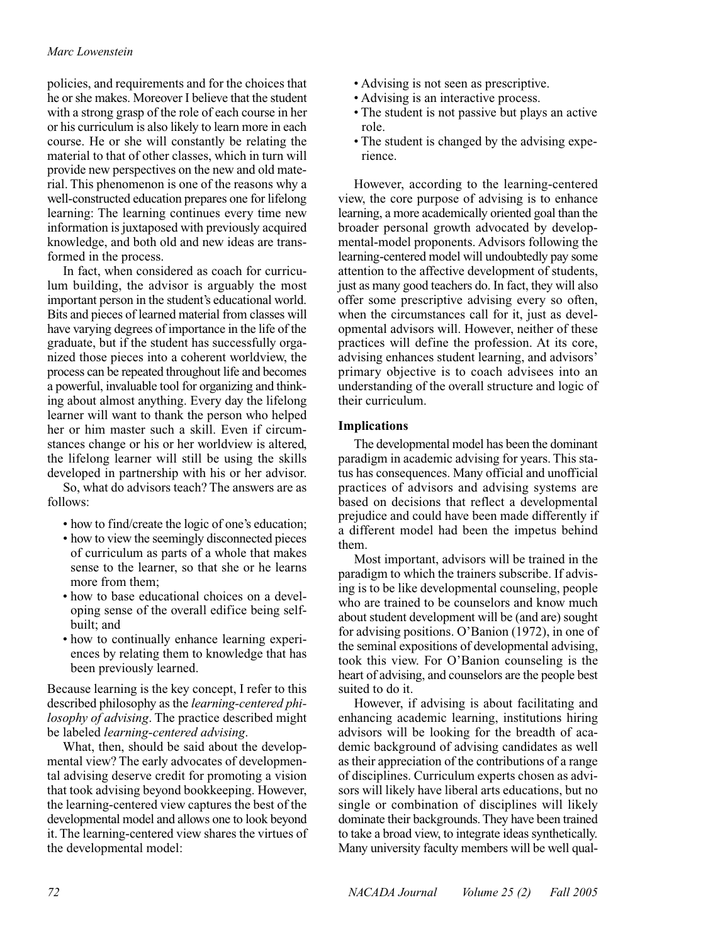# *Marc Lowenstein*

policies, and requirements and for the choices that he or she makes. Moreover I believe that the student with a strong grasp of the role of each course in her or his curriculum is also likely to learn more in each course. He or she will constantly be relating the material to that of other classes, which in turn will provide new perspectives on the new and old material. This phenomenon is one of the reasons why a well-constructed education prepares one for lifelong learning: The learning continues every time new information is juxtaposed with previously acquired knowledge, and both old and new ideas are transformed in the process.

In fact, when considered as coach for curriculum building, the advisor is arguably the most important person in the student's educational world. Bits and pieces of learned material from classes will have varying degrees of importance in the life of the graduate, but if the student has successfully organized those pieces into a coherent worldview, the process can be repeated throughout life and becomes a powerful, invaluable tool for organizing and thinking about almost anything. Every day the lifelong learner will want to thank the person who helped her or him master such a skill. Even if circumstances change or his or her worldview is altered, the lifelong learner will still be using the skills developed in partnership with his or her advisor.

So, what do advisors teach? The answers are as follows:

- how to find/create the logic of one's education;
- how to view the seemingly disconnected pieces of curriculum as parts of a whole that makes sense to the learner, so that she or he learns more from them;
- how to base educational choices on a developing sense of the overall edifice being selfbuilt; and
- how to continually enhance learning experiences by relating them to knowledge that has been previously learned.

Because learning is the key concept, I refer to this described philosophy as the *learning-centered philosophy of advising*. The practice described might be labeled *learning-centered advising*.

What, then, should be said about the developmental view? The early advocates of developmental advising deserve credit for promoting a vision that took advising beyond bookkeeping. However, the learning-centered view captures the best of the developmental model and allows one to look beyond it. The learning-centered view shares the virtues of the developmental model:

- Advising is not seen as prescriptive.
- Advising is an interactive process.
- The student is not passive but plays an active role.
- The student is changed by the advising experience.

However, according to the learning-centered view, the core purpose of advising is to enhance learning, a more academically oriented goal than the broader personal growth advocated by developmental-model proponents. Advisors following the learning-centered model will undoubtedly pay some attention to the affective development of students, just as many good teachers do. In fact, they will also offer some prescriptive advising every so often, when the circumstances call for it, just as developmental advisors will. However, neither of these practices will define the profession. At its core, advising enhances student learning, and advisors' primary objective is to coach advisees into an understanding of the overall structure and logic of their curriculum.

# **Implications**

The developmental model has been the dominant paradigm in academic advising for years. This status has consequences. Many official and unofficial practices of advisors and advising systems are based on decisions that reflect a developmental prejudice and could have been made differently if a different model had been the impetus behind them.

Most important, advisors will be trained in the paradigm to which the trainers subscribe. If advising is to be like developmental counseling, people who are trained to be counselors and know much about student development will be (and are) sought for advising positions. O'Banion (1972), in one of the seminal expositions of developmental advising, took this view. For O'Banion counseling is the heart of advising, and counselors are the people best suited to do it.

However, if advising is about facilitating and enhancing academic learning, institutions hiring advisors will be looking for the breadth of academic background of advising candidates as well as their appreciation of the contributions of a range of disciplines. Curriculum experts chosen as advisors will likely have liberal arts educations, but no single or combination of disciplines will likely dominate their backgrounds. They have been trained to take a broad view, to integrate ideas synthetically. Many university faculty members will be well qual